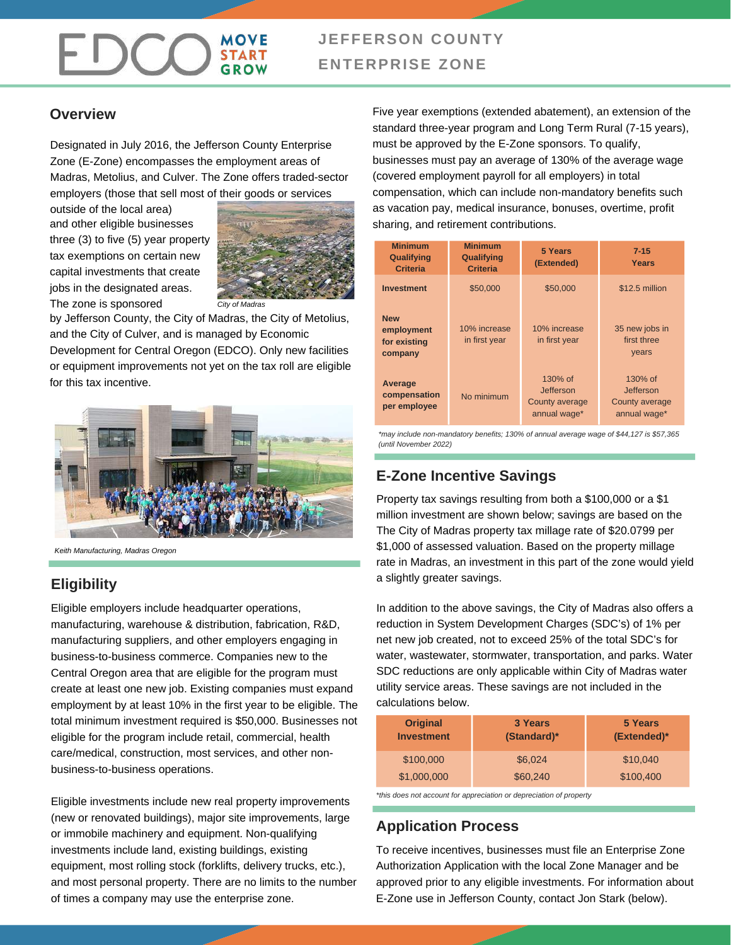# **JEFFERSON COUNTY ENTERPRISE ZONE**

### **Overview**

Designated in July 2016, the Jefferson County Enterprise Zone (E-Zone) encompasses the employment areas of Madras, Metolius, and Culver. The Zone offers traded-sector employers (those that sell most of their goods or services

outside of the local area) and other eligible businesses three (3) to five (5) year property tax exemptions on certain new capital investments that create jobs in the designated areas. The zone is sponsored

FDCC



*City of Madras*

by Jefferson County, the City of Madras, the City of Metolius, and the City of Culver, and is managed by Economic Development for Central Oregon (EDCO). Only new facilities or equipment improvements not yet on the tax roll are eligible for this tax incentive.



*Keith Manufacturing, Madras Oregon*

### **Eligibility**

Eligible employers include headquarter operations, manufacturing, warehouse & distribution, fabrication, R&D, manufacturing suppliers, and other employers engaging in business-to-business commerce. Companies new to the Central Oregon area that are eligible for the program must create at least one new job. Existing companies must expand employment by at least 10% in the first year to be eligible. The total minimum investment required is \$50,000. Businesses not eligible for the program include retail, commercial, health care/medical, construction, most services, and other nonbusiness-to-business operations.

Eligible investments include new real property improvements (new or renovated buildings), major site improvements, large or immobile machinery and equipment. Non-qualifying investments include land, existing buildings, existing equipment, most rolling stock (forklifts, delivery trucks, etc.), and most personal property. There are no limits to the number of times a company may use the enterprise zone.

Five year exemptions (extended abatement), an extension of the standard three-year program and Long Term Rural (7-15 years), must be approved by the E-Zone sponsors. To qualify, businesses must pay an average of 130% of the average wage (covered employment payroll for all employers) in total compensation, which can include non-mandatory benefits such as vacation pay, medical insurance, bonuses, overtime, profit sharing, and retirement contributions.

| <b>Minimum</b><br><b>Qualifying</b><br><b>Criteria</b> | <b>Minimum</b><br><b>Qualifying</b><br><b>Criteria</b> | <b>5 Years</b><br>(Extended)                           | $7 - 15$<br>Years                                      |
|--------------------------------------------------------|--------------------------------------------------------|--------------------------------------------------------|--------------------------------------------------------|
| <b>Investment</b>                                      | \$50,000                                               | \$50,000                                               | \$12.5 million                                         |
| <b>New</b><br>employment<br>for existing<br>company    | 10% increase<br>in first year                          | 10% increase<br>in first year                          | 35 new jobs in<br>first three<br>years                 |
| Average<br>compensation<br>per employee                | No minimum                                             | 130% of<br>Jefferson<br>County average<br>annual wage* | 130% of<br>Jefferson<br>County average<br>annual wage* |

*\*may include non-mandatory benefits; 130% of annual average wage of \$44,127 is \$57,365 (until November 2022)*

### **E-Zone Incentive Savings**

Property tax savings resulting from both a \$100,000 or a \$1 million investment are shown below; savings are based on the The City of Madras property tax millage rate of \$20.0799 per \$1,000 of assessed valuation. Based on the property millage rate in Madras, an investment in this part of the zone would yield a slightly greater savings.

In addition to the above savings, the City of Madras also offers a reduction in System Development Charges (SDC's) of 1% per net new job created, not to exceed 25% of the total SDC's for water, wastewater, stormwater, transportation, and parks. Water SDC reductions are only applicable within City of Madras water utility service areas. These savings are not included in the calculations below.

| <b>Original</b><br><b>Investment</b> | 3 Years<br>(Standard)* | 5 Years<br>(Extended)* |
|--------------------------------------|------------------------|------------------------|
| \$100,000                            | \$6,024                | \$10,040               |
| \$1,000,000                          | \$60,240               | \$100,400              |

*\*this does not account for appreciation or depreciation of property*

### **Application Process**

To receive incentives, businesses must file an Enterprise Zone Authorization Application with the local Zone Manager and be approved prior to any eligible investments. For information about E-Zone use in Jefferson County, contact Jon Stark (below).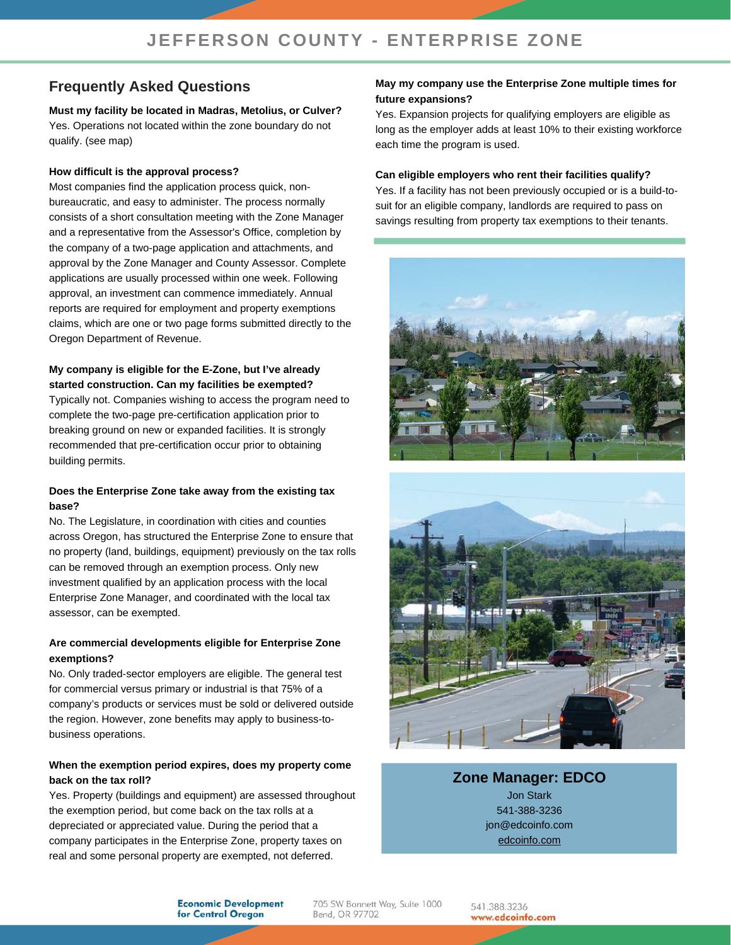## **Frequently Asked Questions**

**Must my facility be located in Madras, Metolius, or Culver?** Yes. Operations not located within the zone boundary do not qualify. (see map)

#### **How difficult is the approval process?**

Most companies find the application process quick, nonbureaucratic, and easy to administer. The process normally consists of a short consultation meeting with the Zone Manager and a representative from the Assessor's Office, completion by the company of a two-page application and attachments, and approval by the Zone Manager and County Assessor. Complete applications are usually processed within one week. Following approval, an investment can commence immediately. Annual reports are required for employment and property exemptions claims, which are one or two page forms submitted directly to the Oregon Department of Revenue.

#### **My company is eligible for the E-Zone, but I've already started construction. Can my facilities be exempted?**

Typically not. Companies wishing to access the program need to complete the two-page pre-certification application prior to breaking ground on new or expanded facilities. It is strongly recommended that pre-certification occur prior to obtaining building permits.

#### **Does the Enterprise Zone take away from the existing tax base?**

No. The Legislature, in coordination with cities and counties across Oregon, has structured the Enterprise Zone to ensure that no property (land, buildings, equipment) previously on the tax rolls can be removed through an exemption process. Only new investment qualified by an application process with the local Enterprise Zone Manager, and coordinated with the local tax assessor, can be exempted.

#### **Are commercial developments eligible for Enterprise Zone exemptions?**

No. Only traded-sector employers are eligible. The general test for commercial versus primary or industrial is that 75% of a company's products or services must be sold or delivered outside the region. However, zone benefits may apply to business-tobusiness operations.

#### **When the exemption period expires, does my property come back on the tax roll?**

Yes. Property (buildings and equipment) are assessed throughout the exemption period, but come back on the tax rolls at a depreciated or appreciated value. During the period that a company participates in the Enterprise Zone, property taxes on real and some personal property are exempted, not deferred.

#### **May my company use the Enterprise Zone multiple times for future expansions?**

Yes. Expansion projects for qualifying employers are eligible as long as the employer adds at least 10% to their existing workforce each time the program is used.

#### **Can eligible employers who rent their facilities qualify?**

Yes. If a facility has not been previously occupied or is a build-tosuit for an eligible company, landlords are required to pass on savings resulting from property tax exemptions to their tenants.





### **Zone Manager: EDCO** Jon Stark 541-388-3236 jon@edcoinfo.com [edcoinfo.com](http://www.edcoinfo.com/)

**Economic Development** for Central Oregon

705 SW Bonnett Way, Suite 1000 Bend, OR 97702

541.388.3236 www.edcoinfo.com